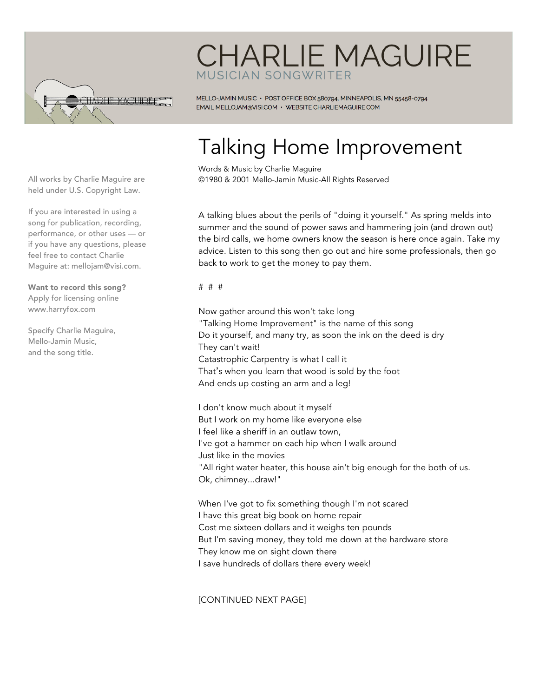

## **CHARLIE MAGUIRE** MUSICIAN SONGWRITER

MELLO-JAMIN MUSIC · POST OFFICE BOX 580794, MINNEAPOLIS, MN 55458-0794 EMAIL MELLOJAM@VISI.COM · WEBSITE CHARLIEMAGUIRE.COM

## Talking Home Improvement

Words & Music by Charlie Maguire ©1980 & 2001 Mello-Jamin Music-All Rights Reserved

A talking blues about the perils of "doing it yourself." As spring melds into summer and the sound of power saws and hammering join (and drown out) the bird calls, we home owners know the season is here once again. Take my advice. Listen to this song then go out and hire some professionals, then go back to work to get the money to pay them.

## # # #

Now gather around this won't take long "Talking Home Improvement" is the name of this song Do it yourself, and many try, as soon the ink on the deed is dry They can't wait! Catastrophic Carpentry is what I call it That's when you learn that wood is sold by the foot And ends up costing an arm and a leg!

I don't know much about it myself But I work on my home like everyone else I feel like a sheriff in an outlaw town, I've got a hammer on each hip when I walk around Just like in the movies "All right water heater, this house ain't big enough for the both of us. Ok, chimney...draw!"

When I've got to fix something though I'm not scared I have this great big book on home repair Cost me sixteen dollars and it weighs ten pounds But I'm saving money, they told me down at the hardware store They know me on sight down there I save hundreds of dollars there every week!

[CONTINUED NEXT PAGE]

All works by Charlie Maguire are held under U.S. Copyright Law.

If you are interested in using a song for publication, recording, performance, or other uses — or if you have any questions, please feel free to contact Charlie Maguire at: mellojam@visi.com.

Want to record this song? Apply for licensing online www.harryfox.com

Specify Charlie Maguire, Mello-Jamin Music, and the song title.